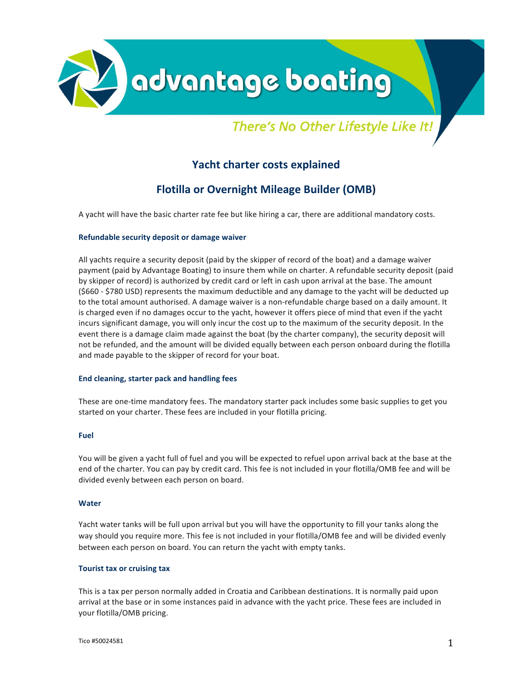

# There's No Other Lifestyle Like It!

# **Yacht charter costs explained**

# **Flotilla or Overnight Mileage Builder (OMB)**

A yacht will have the basic charter rate fee but like hiring a car, there are additional mandatory costs.

#### **Refundable security deposit or damage waiver**

All yachts require a security deposit (paid by the skipper of record of the boat) and a damage waiver payment (paid by Advantage Boating) to insure them while on charter. A refundable security deposit (paid by skipper of record) is authorized by credit card or left in cash upon arrival at the base. The amount (\$660 - \$780 USD) represents the maximum deductible and any damage to the yacht will be deducted up to the total amount authorised. A damage waiver is a non-refundable charge based on a daily amount. It is charged even if no damages occur to the yacht, however it offers piece of mind that even if the yacht incurs significant damage, you will only incur the cost up to the maximum of the security deposit. In the event there is a damage claim made against the boat (by the charter company), the security deposit will not be refunded, and the amount will be divided equally between each person onboard during the flotilla and made payable to the skipper of record for your boat.

#### **End cleaning, starter pack and handling fees**

These are one-time mandatory fees. The mandatory starter pack includes some basic supplies to get you started on your charter. These fees are included in your flotilla pricing.

#### **Fuel**

You will be given a yacht full of fuel and you will be expected to refuel upon arrival back at the base at the end of the charter. You can pay by credit card. This fee is not included in your flotilla/OMB fee and will be divided evenly between each person on board.

#### **Water**

Yacht water tanks will be full upon arrival but you will have the opportunity to fill your tanks along the way should you require more. This fee is not included in your flotilla/OMB fee and will be divided evenly between each person on board. You can return the yacht with empty tanks.

#### **Tourist tax or cruising tax**

This is a tax per person normally added in Croatia and Caribbean destinations. It is normally paid upon arrival at the base or in some instances paid in advance with the yacht price. These fees are included in your flotilla/OMB pricing.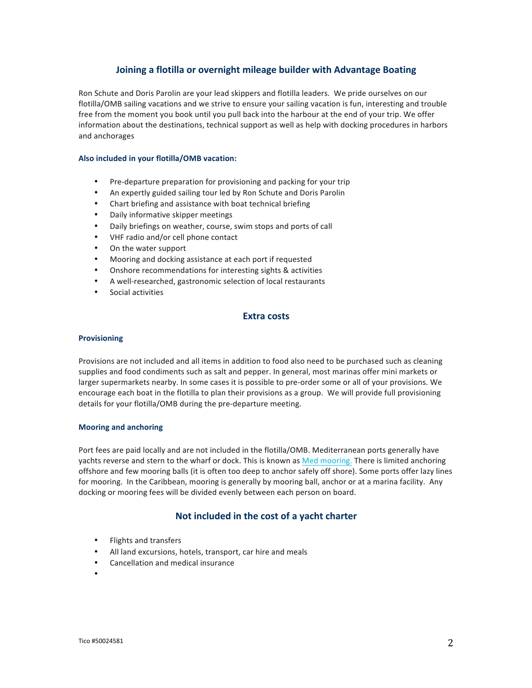## **Joining a flotilla or overnight mileage builder with Advantage Boating**

Ron Schute and Doris Parolin are your lead skippers and flotilla leaders. We pride ourselves on our flotilla/OMB sailing vacations and we strive to ensure your sailing vacation is fun, interesting and trouble free from the moment you book until you pull back into the harbour at the end of your trip. We offer information about the destinations, technical support as well as help with docking procedures in harbors and anchorages

#### Also included in your flotilla/OMB vacation:

- Pre-departure preparation for provisioning and packing for your trip
- An expertly guided sailing tour led by Ron Schute and Doris Parolin
- Chart briefing and assistance with boat technical briefing
- Daily informative skipper meetings
- Daily briefings on weather, course, swim stops and ports of call
- VHF radio and/or cell phone contact
- On the water support
- Mooring and docking assistance at each port if requested
- Onshore recommendations for interesting sights & activities
- A well-researched, gastronomic selection of local restaurants
- Social activities

#### **Extra costs**

#### **Provisioning**

Provisions are not included and all items in addition to food also need to be purchased such as cleaning supplies and food condiments such as salt and pepper. In general, most marinas offer mini markets or larger supermarkets nearby. In some cases it is possible to pre-order some or all of your provisions. We encourage each boat in the flotilla to plan their provisions as a group. We will provide full provisioning details for your flotilla/OMB during the pre-departure meeting.

#### **Mooring and anchoring**

Port fees are paid locally and are not included in the flotilla/OMB. Mediterranean ports generally have yachts reverse and stern to the wharf or dock. This is known as Med mooring. There is limited anchoring offshore and few mooring balls (it is often too deep to anchor safely off shore). Some ports offer lazy lines for mooring. In the Caribbean, mooring is generally by mooring ball, anchor or at a marina facility. Any docking or mooring fees will be divided evenly between each person on board.

## Not included in the cost of a yacht charter

- Flights and transfers
- All land excursions, hotels, transport, car hire and meals
- Cancellation and medical insurance
- •